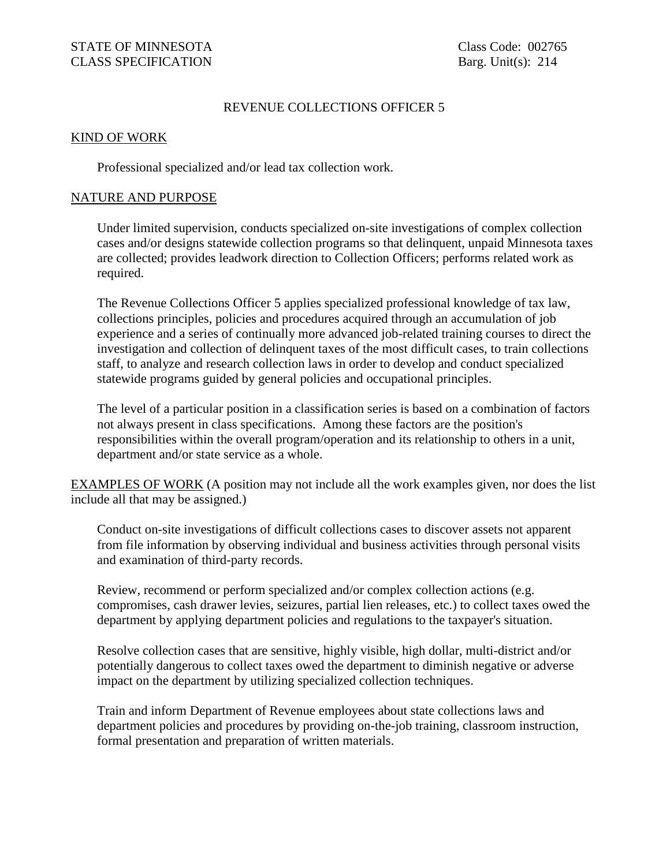### REVENUE COLLECTIONS OFFICER 5

#### KIND OF WORK

Professional specialized and/or lead tax collection work.

#### NATURE AND PURPOSE

Under limited supervision, conducts specialized on-site investigations of complex collection cases and/or designs statewide collection programs so that delinquent, unpaid Minnesota taxes are collected; provides leadwork direction to Collection Officers; performs related work as required.

The Revenue Collections Officer 5 applies specialized professional knowledge of tax law, collections principles, policies and procedures acquired through an accumulation of job experience and a series of continually more advanced job-related training courses to direct the investigation and collection of delinquent taxes of the most difficult cases, to train collections staff, to analyze and research collection laws in order to develop and conduct specialized statewide programs guided by general policies and occupational principles.

The level of a particular position in a classification series is based on a combination of factors not always present in class specifications. Among these factors are the position's responsibilities within the overall program/operation and its relationship to others in a unit, department and/or state service as a whole.

EXAMPLES OF WORK (A position may not include all the work examples given, nor does the list include all that may be assigned.)

Conduct on-site investigations of difficult collections cases to discover assets not apparent from file information by observing individual and business activities through personal visits and examination of third-party records.

Review, recommend or perform specialized and/or complex collection actions (e.g. compromises, cash drawer levies, seizures, partial lien releases, etc.) to collect taxes owed the department by applying department policies and regulations to the taxpayer's situation.

Resolve collection cases that are sensitive, highly visible, high dollar, multi-district and/or potentially dangerous to collect taxes owed the department to diminish negative or adverse impact on the department by utilizing specialized collection techniques.

Train and inform Department of Revenue employees about state collections laws and department policies and procedures by providing on-the-job training, classroom instruction, formal presentation and preparation of written materials.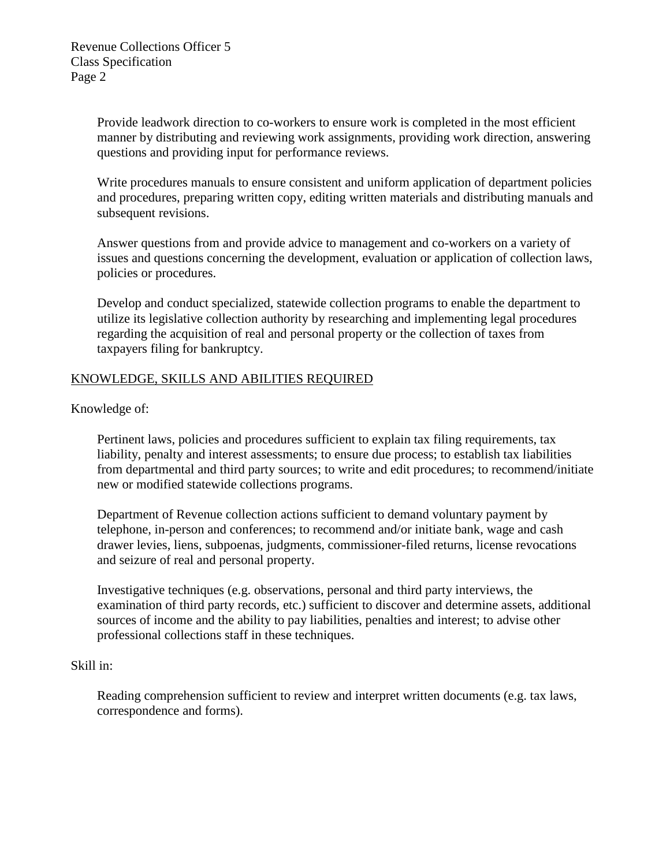Provide leadwork direction to co-workers to ensure work is completed in the most efficient manner by distributing and reviewing work assignments, providing work direction, answering questions and providing input for performance reviews.

Write procedures manuals to ensure consistent and uniform application of department policies and procedures, preparing written copy, editing written materials and distributing manuals and subsequent revisions.

Answer questions from and provide advice to management and co-workers on a variety of issues and questions concerning the development, evaluation or application of collection laws, policies or procedures.

Develop and conduct specialized, statewide collection programs to enable the department to utilize its legislative collection authority by researching and implementing legal procedures regarding the acquisition of real and personal property or the collection of taxes from taxpayers filing for bankruptcy.

# KNOWLEDGE, SKILLS AND ABILITIES REQUIRED

Knowledge of:

Pertinent laws, policies and procedures sufficient to explain tax filing requirements, tax liability, penalty and interest assessments; to ensure due process; to establish tax liabilities from departmental and third party sources; to write and edit procedures; to recommend/initiate new or modified statewide collections programs.

Department of Revenue collection actions sufficient to demand voluntary payment by telephone, in-person and conferences; to recommend and/or initiate bank, wage and cash drawer levies, liens, subpoenas, judgments, commissioner-filed returns, license revocations and seizure of real and personal property.

Investigative techniques (e.g. observations, personal and third party interviews, the examination of third party records, etc.) sufficient to discover and determine assets, additional sources of income and the ability to pay liabilities, penalties and interest; to advise other professional collections staff in these techniques.

## Skill in:

Reading comprehension sufficient to review and interpret written documents (e.g. tax laws, correspondence and forms).